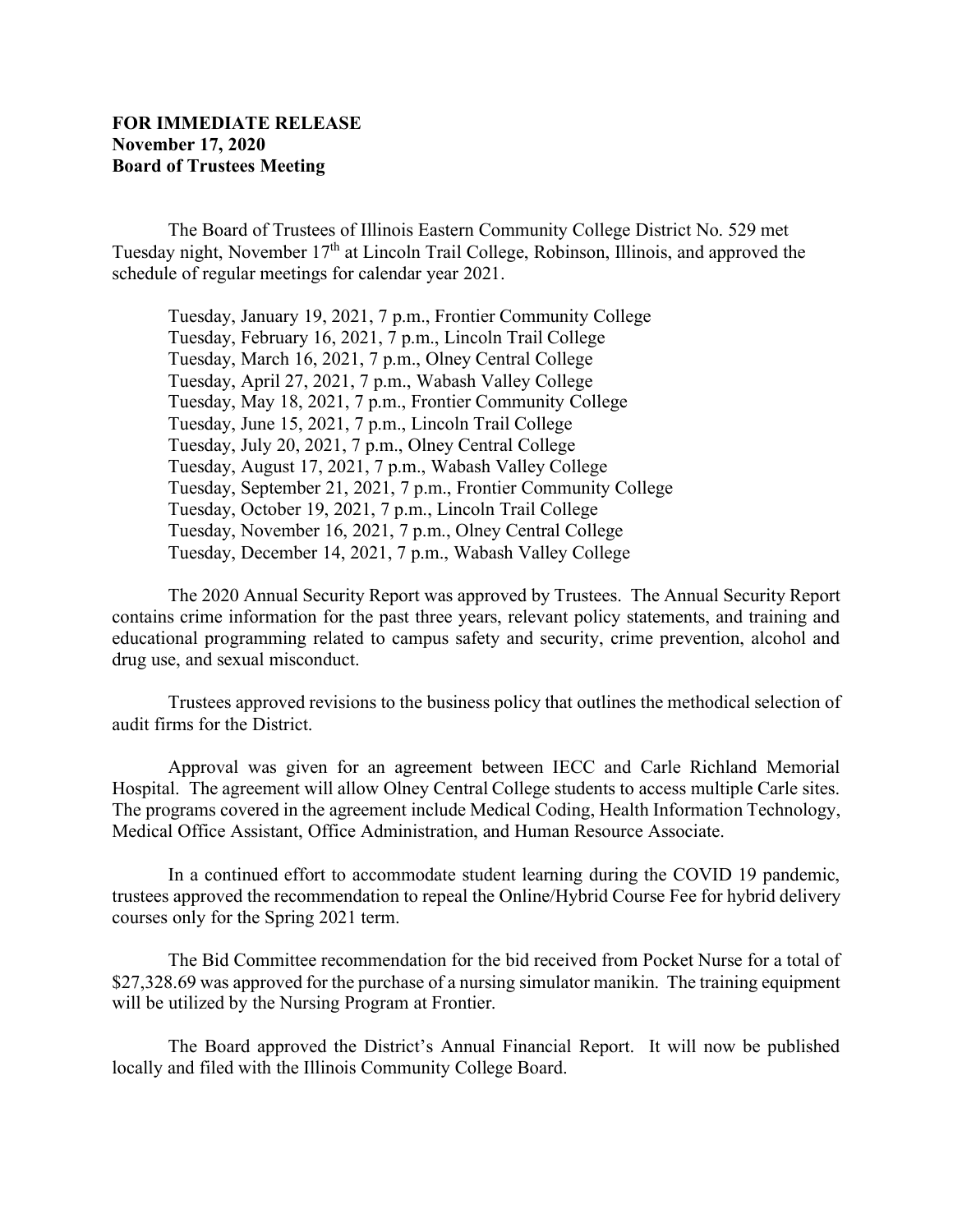The Board of Trustees of Illinois Eastern Community College District No. 529 met Tuesday night, November 17<sup>th</sup> at Lincoln Trail College, Robinson, Illinois, and approved the schedule of regular meetings for calendar year 2021.

Tuesday, January 19, 2021, 7 p.m., Frontier Community College Tuesday, February 16, 2021, 7 p.m., Lincoln Trail College Tuesday, March 16, 2021, 7 p.m., Olney Central College Tuesday, April 27, 2021, 7 p.m., Wabash Valley College Tuesday, May 18, 2021, 7 p.m., Frontier Community College Tuesday, June 15, 2021, 7 p.m., Lincoln Trail College Tuesday, July 20, 2021, 7 p.m., Olney Central College Tuesday, August 17, 2021, 7 p.m., Wabash Valley College Tuesday, September 21, 2021, 7 p.m., Frontier Community College Tuesday, October 19, 2021, 7 p.m., Lincoln Trail College Tuesday, November 16, 2021, 7 p.m., Olney Central College Tuesday, December 14, 2021, 7 p.m., Wabash Valley College

The 2020 Annual Security Report was approved by Trustees. The Annual Security Report contains crime information for the past three years, relevant policy statements, and training and educational programming related to campus safety and security, crime prevention, alcohol and drug use, and sexual misconduct.

Trustees approved revisions to the business policy that outlines the methodical selection of audit firms for the District.

Approval was given for an agreement between IECC and Carle Richland Memorial Hospital. The agreement will allow Olney Central College students to access multiple Carle sites. The programs covered in the agreement include Medical Coding, Health Information Technology, Medical Office Assistant, Office Administration, and Human Resource Associate.

In a continued effort to accommodate student learning during the COVID 19 pandemic, trustees approved the recommendation to repeal the Online/Hybrid Course Fee for hybrid delivery courses only for the Spring 2021 term.

The Bid Committee recommendation for the bid received from Pocket Nurse for a total of \$27,328.69 was approved for the purchase of a nursing simulator manikin. The training equipment will be utilized by the Nursing Program at Frontier.

The Board approved the District's Annual Financial Report. It will now be published locally and filed with the Illinois Community College Board.